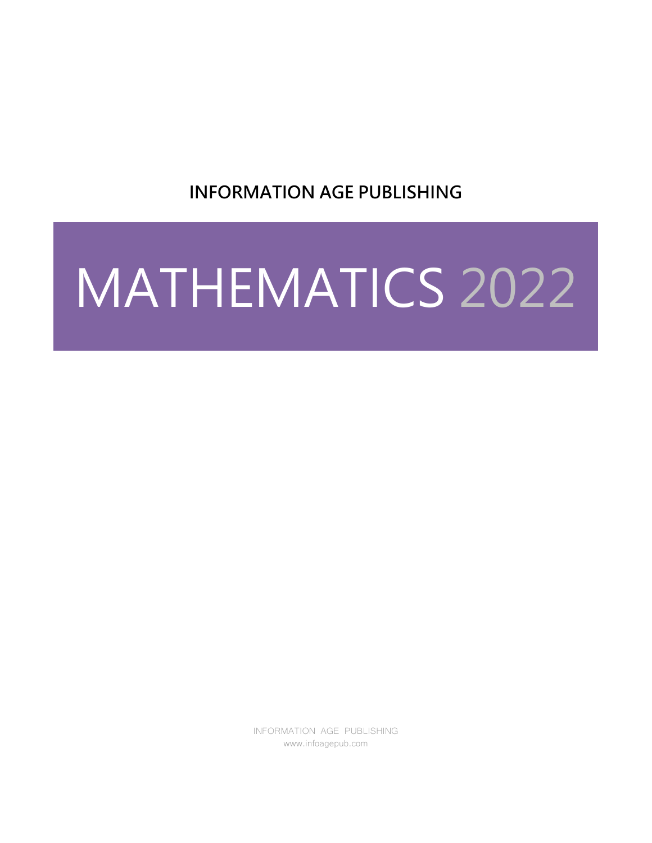**INFORMATION AGE PUBLISHING**

# MATHEMATICS 2022

INFORMATION AGE PUBLISHING www.infoagepub.com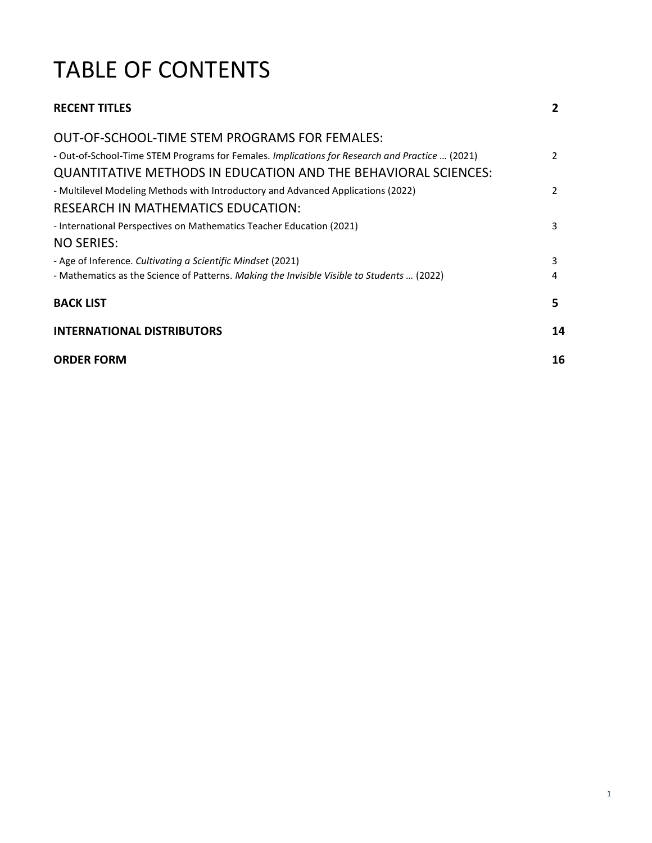# TABLE OF CONTENTS

| <b>RECENT TITLES</b>                                                                           | 2              |
|------------------------------------------------------------------------------------------------|----------------|
| OUT-OF-SCHOOL-TIME STEM PROGRAMS FOR FEMALES:                                                  |                |
| - Out-of-School-Time STEM Programs for Females. Implications for Research and Practice  (2021) | $\mathcal{P}$  |
| QUANTITATIVE METHODS IN EDUCATION AND THE BEHAVIORAL SCIENCES:                                 |                |
| - Multilevel Modeling Methods with Introductory and Advanced Applications (2022)               | $\overline{2}$ |
| RESEARCH IN MATHEMATICS EDUCATION:                                                             |                |
| - International Perspectives on Mathematics Teacher Education (2021)                           | 3              |
| <b>NO SERIES:</b>                                                                              |                |
| - Age of Inference. Cultivating a Scientific Mindset (2021)                                    | 3              |
| - Mathematics as the Science of Patterns. Making the Invisible Visible to Students  (2022)     | 4              |
| <b>BACK LIST</b>                                                                               | 5              |
| <b>INTERNATIONAL DISTRIBUTORS</b>                                                              | 14             |
| <b>ORDER FORM</b>                                                                              | 16             |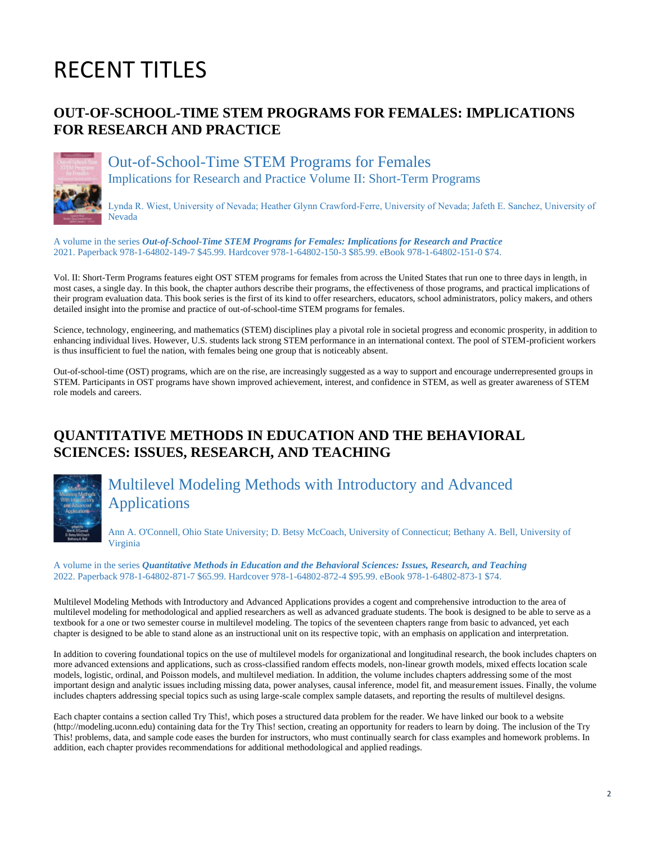# RECENT TITLES

## **OUT-OF-SCHOOL-TIME STEM PROGRAMS FOR FEMALES: IMPLICATIONS FOR RESEARCH AND PRACTICE**



Out-of-School-Time STEM Programs for Females Implications for Research and Practice Volume II: Short-Term Programs

Lynda R. Wiest, University of Nevada; Heather Glynn Crawford‐Ferre, University of Nevada; Jafeth E. Sanchez, University of Nevada

A volume in the series *Out-of-School-Time STEM Programs for Females: Implications for Research and Practice* 2021. Paperback 978-1-64802-149-7 \$45.99. Hardcover 978-1-64802-150-3 \$85.99. eBook 978-1-64802-151-0 \$74.

Vol. II: Short-Term Programs features eight OST STEM programs for females from across the United States that run one to three days in length, in most cases, a single day. In this book, the chapter authors describe their programs, the effectiveness of those programs, and practical implications of their program evaluation data. This book series is the first of its kind to offer researchers, educators, school administrators, policy makers, and others detailed insight into the promise and practice of out-of-school-time STEM programs for females.

Science, technology, engineering, and mathematics (STEM) disciplines play a pivotal role in societal progress and economic prosperity, in addition to enhancing individual lives. However, U.S. students lack strong STEM performance in an international context. The pool of STEM-proficient workers is thus insufficient to fuel the nation, with females being one group that is noticeably absent.

Out-of-school-time (OST) programs, which are on the rise, are increasingly suggested as a way to support and encourage underrepresented groups in STEM. Participants in OST programs have shown improved achievement, interest, and confidence in STEM, as well as greater awareness of STEM role models and careers.

## **QUANTITATIVE METHODS IN EDUCATION AND THE BEHAVIORAL SCIENCES: ISSUES, RESEARCH, AND TEACHING**



Multilevel Modeling Methods with Introductory and Advanced Applications

Ann A. O'Connell, Ohio State University; D. Betsy McCoach, University of Connecticut; Bethany A. Bell, University of Virginia

#### A volume in the series *Quantitative Methods in Education and the Behavioral Sciences: Issues, Research, and Teaching* 2022. Paperback 978-1-64802-871-7 \$65.99. Hardcover 978-1-64802-872-4 \$95.99. eBook 978-1-64802-873-1 \$74.

Multilevel Modeling Methods with Introductory and Advanced Applications provides a cogent and comprehensive introduction to the area of multilevel modeling for methodological and applied researchers as well as advanced graduate students. The book is designed to be able to serve as a textbook for a one or two semester course in multilevel modeling. The topics of the seventeen chapters range from basic to advanced, yet each chapter is designed to be able to stand alone as an instructional unit on its respective topic, with an emphasis on application and interpretation.

In addition to covering foundational topics on the use of multilevel models for organizational and longitudinal research, the book includes chapters on more advanced extensions and applications, such as cross-classified random effects models, non-linear growth models, mixed effects location scale models, logistic, ordinal, and Poisson models, and multilevel mediation. In addition, the volume includes chapters addressing some of the most important design and analytic issues including missing data, power analyses, causal inference, model fit, and measurement issues. Finally, the volume includes chapters addressing special topics such as using large-scale complex sample datasets, and reporting the results of multilevel designs.

Each chapter contains a section called Try This!, which poses a structured data problem for the reader. We have linked our book to a website (http://modeling.uconn.edu) containing data for the Try This! section, creating an opportunity for readers to learn by doing. The inclusion of the Try This! problems, data, and sample code eases the burden for instructors, who must continually search for class examples and homework problems. In addition, each chapter provides recommendations for additional methodological and applied readings.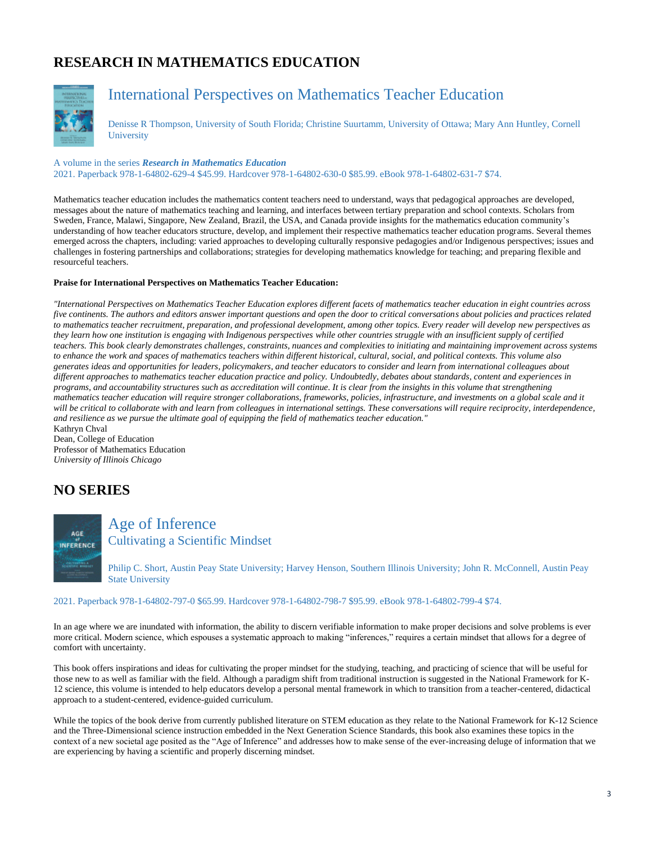# **RESEARCH IN MATHEMATICS EDUCATION**



# International Perspectives on Mathematics Teacher Education

Denisse R Thompson, University of South Florida; Christine Suurtamm, University of Ottawa; Mary Ann Huntley, Cornell **University** 

A volume in the series *Research in Mathematics Education* 2021. Paperback 978-1-64802-629-4 \$45.99. Hardcover 978-1-64802-630-0 \$85.99. eBook 978-1-64802-631-7 \$74.

Mathematics teacher education includes the mathematics content teachers need to understand, ways that pedagogical approaches are developed, messages about the nature of mathematics teaching and learning, and interfaces between tertiary preparation and school contexts. Scholars from Sweden, France, Malawi, Singapore, New Zealand, Brazil, the USA, and Canada provide insights for the mathematics education community's understanding of how teacher educators structure, develop, and implement their respective mathematics teacher education programs. Several themes emerged across the chapters, including: varied approaches to developing culturally responsive pedagogies and/or Indigenous perspectives; issues and challenges in fostering partnerships and collaborations; strategies for developing mathematics knowledge for teaching; and preparing flexible and resourceful teachers.

#### **Praise for International Perspectives on Mathematics Teacher Education:**

*"International Perspectives on Mathematics Teacher Education explores different facets of mathematics teacher education in eight countries across five continents. The authors and editors answer important questions and open the door to critical conversations about policies and practices related to mathematics teacher recruitment, preparation, and professional development, among other topics. Every reader will develop new perspectives as they learn how one institution is engaging with Indigenous perspectives while other countries struggle with an insufficient supply of certified teachers. This book clearly demonstrates challenges, constraints, nuances and complexities to initiating and maintaining improvement across systems to enhance the work and spaces of mathematics teachers within different historical, cultural, social, and political contexts. This volume also generates ideas and opportunities for leaders, policymakers, and teacher educators to consider and learn from international colleagues about different approaches to mathematics teacher education practice and policy. Undoubtedly, debates about standards, content and experiences in programs, and accountability structures such as accreditation will continue. It is clear from the insights in this volume that strengthening mathematics teacher education will require stronger collaborations, frameworks, policies, infrastructure, and investments on a global scale and it*  will be critical to collaborate with and learn from colleagues in international settings. These conversations will require reciprocity, interdependence, *and resilience as we pursue the ultimate goal of equipping the field of mathematics teacher education."*

Kathryn Chval Dean, College of Education Professor of Mathematics Education *University of Illinois Chicago*

## **NO SERIES**

AGE **INFERENCE** 

Age of Inference Cultivating a Scientific Mindset

Philip C. Short, Austin Peay State University; Harvey Henson, Southern Illinois University; John R. McConnell, Austin Peay State University

#### 2021. Paperback 978-1-64802-797-0 \$65.99. Hardcover 978-1-64802-798-7 \$95.99. eBook 978-1-64802-799-4 \$74.

In an age where we are inundated with information, the ability to discern verifiable information to make proper decisions and solve problems is ever more critical. Modern science, which espouses a systematic approach to making "inferences," requires a certain mindset that allows for a degree of comfort with uncertainty.

This book offers inspirations and ideas for cultivating the proper mindset for the studying, teaching, and practicing of science that will be useful for those new to as well as familiar with the field. Although a paradigm shift from traditional instruction is suggested in the National Framework for K-12 science, this volume is intended to help educators develop a personal mental framework in which to transition from a teacher-centered, didactical approach to a student-centered, evidence-guided curriculum.

While the topics of the book derive from currently published literature on STEM education as they relate to the National Framework for K-12 Science and the Three-Dimensional science instruction embedded in the Next Generation Science Standards, this book also examines these topics in the context of a new societal age posited as the "Age of Inference" and addresses how to make sense of the ever-increasing deluge of information that we are experiencing by having a scientific and properly discerning mindset.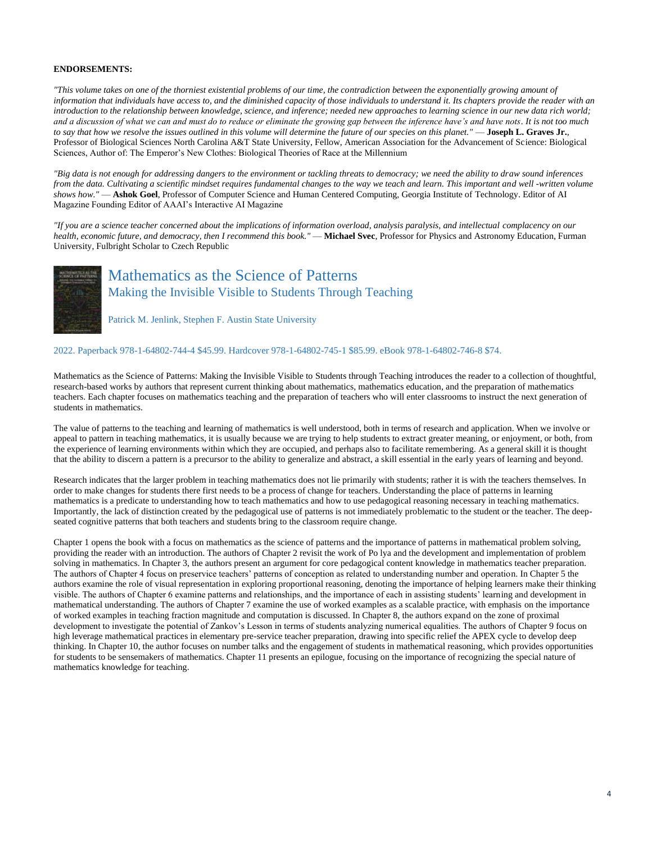#### **ENDORSEMENTS:**

*"This volume takes on one of the thorniest existential problems of our time, the contradiction between the exponentially growing amount of information that individuals have access to, and the diminished capacity of those individuals to understand it. Its chapters provide the reader with an introduction to the relationship between knowledge, science, and inference; needed new approaches to learning science in our new data rich world; and a discussion of what we can and must do to reduce or eliminate the growing gap between the inference have's and have nots. It is not too much to say that how we resolve the issues outlined in this volume will determine the future of our species on this planet."* — **Joseph L. Graves Jr.**, Professor of Biological Sciences North Carolina A&T State University, Fellow, American Association for the Advancement of Science: Biological Sciences, Author of: The Emperor's New Clothes: Biological Theories of Race at the Millennium

*"Big data is not enough for addressing dangers to the environment or tackling threats to democracy; we need the ability to draw sound inferences from the data. Cultivating a scientific mindset requires fundamental changes to the way we teach and learn. This important and well -written volume shows how."* — **Ashok Goel**, Professor of Computer Science and Human Centered Computing, Georgia Institute of Technology. Editor of AI Magazine Founding Editor of AAAI's Interactive AI Magazine

*"If you are a science teacher concerned about the implications of information overload, analysis paralysis, and intellectual complacency on our health, economic future, and democracy, then I recommend this book."* — **Michael Svec**, Professor for Physics and Astronomy Education, Furman University, Fulbright Scholar to Czech Republic



## Mathematics as the Science of Patterns Making the Invisible Visible to Students Through Teaching

Patrick M. Jenlink, Stephen F. Austin State University

2022. Paperback 978-1-64802-744-4 \$45.99. Hardcover 978-1-64802-745-1 \$85.99. eBook 978-1-64802-746-8 \$74.

Mathematics as the Science of Patterns: Making the Invisible Visible to Students through Teaching introduces the reader to a collection of thoughtful, research-based works by authors that represent current thinking about mathematics, mathematics education, and the preparation of mathematics teachers. Each chapter focuses on mathematics teaching and the preparation of teachers who will enter classrooms to instruct the next generation of students in mathematics.

The value of patterns to the teaching and learning of mathematics is well understood, both in terms of research and application. When we involve or appeal to pattern in teaching mathematics, it is usually because we are trying to help students to extract greater meaning, or enjoyment, or both, from the experience of learning environments within which they are occupied, and perhaps also to facilitate remembering. As a general skill it is thought that the ability to discern a pattern is a precursor to the ability to generalize and abstract, a skill essential in the early years of learning and beyond.

Research indicates that the larger problem in teaching mathematics does not lie primarily with students; rather it is with the teachers themselves. In order to make changes for students there first needs to be a process of change for teachers. Understanding the place of patterns in learning mathematics is a predicate to understanding how to teach mathematics and how to use pedagogical reasoning necessary in teaching mathematics. Importantly, the lack of distinction created by the pedagogical use of patterns is not immediately problematic to the student or the teacher. The deepseated cognitive patterns that both teachers and students bring to the classroom require change.

Chapter 1 opens the book with a focus on mathematics as the science of patterns and the importance of patterns in mathematical problem solving, providing the reader with an introduction. The authors of Chapter 2 revisit the work of Po lya and the development and implementation of problem solving in mathematics. In Chapter 3, the authors present an argument for core pedagogical content knowledge in mathematics teacher preparation. The authors of Chapter 4 focus on preservice teachers' patterns of conception as related to understanding number and operation. In Chapter 5 the authors examine the role of visual representation in exploring proportional reasoning, denoting the importance of helping learners make their thinking visible. The authors of Chapter 6 examine patterns and relationships, and the importance of each in assisting students' learning and development in mathematical understanding. The authors of Chapter 7 examine the use of worked examples as a scalable practice, with emphasis on the importance of worked examples in teaching fraction magnitude and computation is discussed. In Chapter 8, the authors expand on the zone of proximal development to investigate the potential of Zankov's Lesson in terms of students analyzing numerical equalities. The authors of Chapter 9 focus on high leverage mathematical practices in elementary pre-service teacher preparation, drawing into specific relief the APEX cycle to develop deep thinking. In Chapter 10, the author focuses on number talks and the engagement of students in mathematical reasoning, which provides opportunities for students to be sensemakers of mathematics. Chapter 11 presents an epilogue, focusing on the importance of recognizing the special nature of mathematics knowledge for teaching.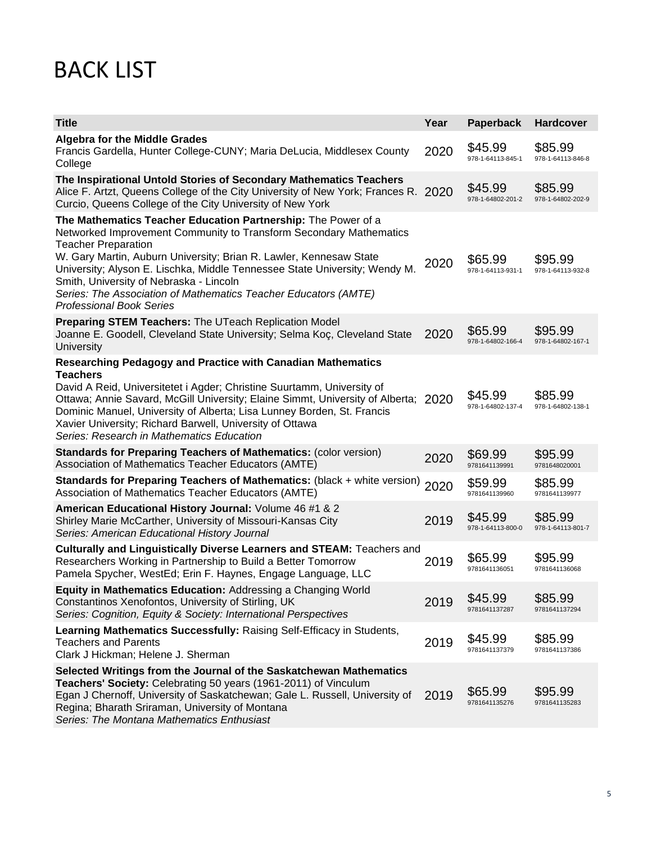# BACK LIST

| <b>Title</b>                                                                                                                                                                                                                                                                                                                                                                                                                                                           | Year | <b>Paperback</b>             | <b>Hardcover</b>             |
|------------------------------------------------------------------------------------------------------------------------------------------------------------------------------------------------------------------------------------------------------------------------------------------------------------------------------------------------------------------------------------------------------------------------------------------------------------------------|------|------------------------------|------------------------------|
| <b>Algebra for the Middle Grades</b><br>Francis Gardella, Hunter College-CUNY; Maria DeLucia, Middlesex County<br>College                                                                                                                                                                                                                                                                                                                                              | 2020 | \$45.99<br>978-1-64113-845-1 | \$85.99<br>978-1-64113-846-8 |
| The Inspirational Untold Stories of Secondary Mathematics Teachers<br>Alice F. Artzt, Queens College of the City University of New York; Frances R. 2020<br>Curcio, Queens College of the City University of New York                                                                                                                                                                                                                                                  |      | \$45.99<br>978-1-64802-201-2 | \$85.99<br>978-1-64802-202-9 |
| The Mathematics Teacher Education Partnership: The Power of a<br>Networked Improvement Community to Transform Secondary Mathematics<br><b>Teacher Preparation</b><br>W. Gary Martin, Auburn University; Brian R. Lawler, Kennesaw State<br>University; Alyson E. Lischka, Middle Tennessee State University; Wendy M.<br>Smith, University of Nebraska - Lincoln<br>Series: The Association of Mathematics Teacher Educators (AMTE)<br><b>Professional Book Series</b> | 2020 | \$65.99<br>978-1-64113-931-1 | \$95.99<br>978-1-64113-932-8 |
| Preparing STEM Teachers: The UTeach Replication Model<br>Joanne E. Goodell, Cleveland State University; Selma Koç, Cleveland State<br><b>University</b>                                                                                                                                                                                                                                                                                                                | 2020 | \$65.99<br>978-1-64802-166-4 | \$95.99<br>978-1-64802-167-1 |
| Researching Pedagogy and Practice with Canadian Mathematics<br><b>Teachers</b><br>David A Reid, Universitetet i Agder; Christine Suurtamm, University of<br>Ottawa; Annie Savard, McGill University; Elaine Simmt, University of Alberta; 2020<br>Dominic Manuel, University of Alberta; Lisa Lunney Borden, St. Francis<br>Xavier University; Richard Barwell, University of Ottawa<br>Series: Research in Mathematics Education                                      |      | \$45.99<br>978-1-64802-137-4 | \$85.99<br>978-1-64802-138-1 |
| Standards for Preparing Teachers of Mathematics: (color version)<br>Association of Mathematics Teacher Educators (AMTE)                                                                                                                                                                                                                                                                                                                                                | 2020 | \$69.99<br>9781641139991     | \$95.99<br>9781648020001     |
| Standards for Preparing Teachers of Mathematics: (black + white version)<br>Association of Mathematics Teacher Educators (AMTE)                                                                                                                                                                                                                                                                                                                                        | 2020 | \$59.99<br>9781641139960     | \$85.99<br>9781641139977     |
| American Educational History Journal: Volume 46 #1 & 2<br>Shirley Marie McCarther, University of Missouri-Kansas City<br>Series: American Educational History Journal                                                                                                                                                                                                                                                                                                  | 2019 | \$45.99<br>978-1-64113-800-0 | \$85.99<br>978-1-64113-801-7 |
| Culturally and Linguistically Diverse Learners and STEAM: Teachers and<br>Researchers Working in Partnership to Build a Better Tomorrow<br>Pamela Spycher, WestEd; Erin F. Haynes, Engage Language, LLC                                                                                                                                                                                                                                                                | 2019 | \$65.99<br>9781641136051     | \$95.99<br>9781641136068     |
| Equity in Mathematics Education: Addressing a Changing World<br>Constantinos Xenofontos, University of Stirling, UK<br>Series: Cognition, Equity & Society: International Perspectives                                                                                                                                                                                                                                                                                 | 2019 | \$45.99<br>9781641137287     | \$85.99<br>9781641137294     |
| Learning Mathematics Successfully: Raising Self-Efficacy in Students,<br><b>Teachers and Parents</b><br>Clark J Hickman; Helene J. Sherman                                                                                                                                                                                                                                                                                                                             | 2019 | \$45.99<br>9781641137379     | \$85.99<br>9781641137386     |
| Selected Writings from the Journal of the Saskatchewan Mathematics<br>Teachers' Society: Celebrating 50 years (1961-2011) of Vinculum<br>Egan J Chernoff, University of Saskatchewan; Gale L. Russell, University of<br>Regina; Bharath Sriraman, University of Montana<br>Series: The Montana Mathematics Enthusiast                                                                                                                                                  | 2019 | \$65.99<br>9781641135276     | \$95.99<br>9781641135283     |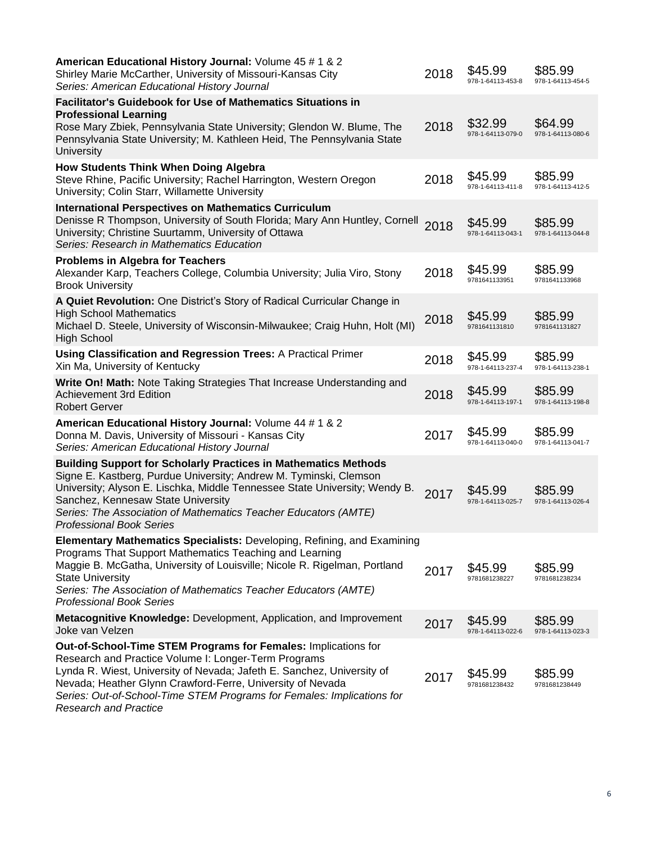| American Educational History Journal: Volume 45 # 1 & 2<br>Shirley Marie McCarther, University of Missouri-Kansas City<br>Series: American Educational History Journal                                                                                                                                                                                                | 2018 | \$45.99<br>978-1-64113-453-8 | \$85.99<br>978-1-64113-454-5 |
|-----------------------------------------------------------------------------------------------------------------------------------------------------------------------------------------------------------------------------------------------------------------------------------------------------------------------------------------------------------------------|------|------------------------------|------------------------------|
| <b>Facilitator's Guidebook for Use of Mathematics Situations in</b><br><b>Professional Learning</b><br>Rose Mary Zbiek, Pennsylvania State University; Glendon W. Blume, The<br>Pennsylvania State University; M. Kathleen Heid, The Pennsylvania State<br>University                                                                                                 | 2018 | \$32.99<br>978-1-64113-079-0 | \$64.99<br>978-1-64113-080-6 |
| <b>How Students Think When Doing Algebra</b><br>Steve Rhine, Pacific University; Rachel Harrington, Western Oregon<br>University; Colin Starr, Willamette University                                                                                                                                                                                                  | 2018 | \$45.99<br>978-1-64113-411-8 | \$85.99<br>978-1-64113-412-5 |
| <b>International Perspectives on Mathematics Curriculum</b><br>Denisse R Thompson, University of South Florida; Mary Ann Huntley, Cornell<br>University; Christine Suurtamm, University of Ottawa<br>Series: Research in Mathematics Education                                                                                                                        | 2018 | \$45.99<br>978-1-64113-043-1 | \$85.99<br>978-1-64113-044-8 |
| <b>Problems in Algebra for Teachers</b><br>Alexander Karp, Teachers College, Columbia University; Julia Viro, Stony<br><b>Brook University</b>                                                                                                                                                                                                                        | 2018 | \$45.99<br>9781641133951     | \$85.99<br>9781641133968     |
| A Quiet Revolution: One District's Story of Radical Curricular Change in<br><b>High School Mathematics</b><br>Michael D. Steele, University of Wisconsin-Milwaukee; Craig Huhn, Holt (MI)<br><b>High School</b>                                                                                                                                                       | 2018 | \$45.99<br>9781641131810     | \$85.99<br>9781641131827     |
| <b>Using Classification and Regression Trees: A Practical Primer</b><br>Xin Ma, University of Kentucky                                                                                                                                                                                                                                                                | 2018 | \$45.99<br>978-1-64113-237-4 | \$85.99<br>978-1-64113-238-1 |
| Write On! Math: Note Taking Strategies That Increase Understanding and<br><b>Achievement 3rd Edition</b><br><b>Robert Gerver</b>                                                                                                                                                                                                                                      | 2018 | \$45.99<br>978-1-64113-197-1 | \$85.99<br>978-1-64113-198-8 |
| American Educational History Journal: Volume 44 # 1 & 2<br>Donna M. Davis, University of Missouri - Kansas City<br>Series: American Educational History Journal                                                                                                                                                                                                       | 2017 | \$45.99<br>978-1-64113-040-0 | \$85.99<br>978-1-64113-041-7 |
| <b>Building Support for Scholarly Practices in Mathematics Methods</b><br>Signe E. Kastberg, Purdue University; Andrew M. Tyminski, Clemson<br>University; Alyson E. Lischka, Middle Tennessee State University; Wendy B.<br>Sanchez, Kennesaw State University<br>Series: The Association of Mathematics Teacher Educators (AMTE)<br><b>Professional Book Series</b> | 2017 | \$45.99<br>978-1-64113-025-7 | \$85.99<br>978-1-64113-026-4 |
| Elementary Mathematics Specialists: Developing, Refining, and Examining<br>Programs That Support Mathematics Teaching and Learning<br>Maggie B. McGatha, University of Louisville; Nicole R. Rigelman, Portland<br><b>State University</b><br>Series: The Association of Mathematics Teacher Educators (AMTE)<br><b>Professional Book Series</b>                      | 2017 | \$45.99<br>9781681238227     | \$85.99<br>9781681238234     |
| Metacognitive Knowledge: Development, Application, and Improvement<br>Joke van Velzen                                                                                                                                                                                                                                                                                 | 2017 | \$45.99<br>978-1-64113-022-6 | \$85.99<br>978-1-64113-023-3 |
| Out-of-School-Time STEM Programs for Females: Implications for<br>Research and Practice Volume I: Longer-Term Programs<br>Lynda R. Wiest, University of Nevada; Jafeth E. Sanchez, University of<br>Nevada; Heather Glynn Crawford-Ferre, University of Nevada<br>Series: Out-of-School-Time STEM Programs for Females: Implications for<br>Poncarab and Drastica     | 2017 | \$45.99<br>9781681238432     | \$85.99<br>9781681238449     |

*Research and Practice*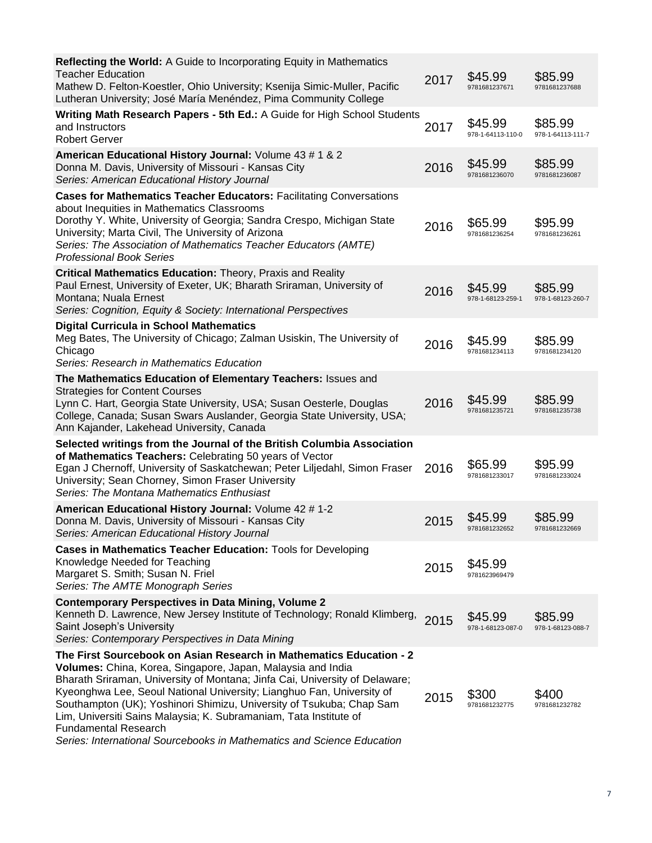| Reflecting the World: A Guide to Incorporating Equity in Mathematics<br><b>Teacher Education</b><br>Mathew D. Felton-Koestler, Ohio University; Ksenija Simic-Muller, Pacific<br>Lutheran University; José María Menéndez, Pima Community College                                                                                                                                                                                                                                                                                                | 2017 | \$45.99<br>9781681237671     | \$85.99<br>9781681237688     |
|--------------------------------------------------------------------------------------------------------------------------------------------------------------------------------------------------------------------------------------------------------------------------------------------------------------------------------------------------------------------------------------------------------------------------------------------------------------------------------------------------------------------------------------------------|------|------------------------------|------------------------------|
| Writing Math Research Papers - 5th Ed.: A Guide for High School Students<br>and Instructors<br><b>Robert Gerver</b>                                                                                                                                                                                                                                                                                                                                                                                                                              | 2017 | \$45.99<br>978-1-64113-110-0 | \$85.99<br>978-1-64113-111-7 |
| American Educational History Journal: Volume 43 # 1 & 2<br>Donna M. Davis, University of Missouri - Kansas City<br>Series: American Educational History Journal                                                                                                                                                                                                                                                                                                                                                                                  | 2016 | \$45.99<br>9781681236070     | \$85.99<br>9781681236087     |
| <b>Cases for Mathematics Teacher Educators: Facilitating Conversations</b><br>about Inequities in Mathematics Classrooms<br>Dorothy Y. White, University of Georgia; Sandra Crespo, Michigan State<br>University; Marta Civil, The University of Arizona<br>Series: The Association of Mathematics Teacher Educators (AMTE)<br><b>Professional Book Series</b>                                                                                                                                                                                   | 2016 | \$65.99<br>9781681236254     | \$95.99<br>9781681236261     |
| Critical Mathematics Education: Theory, Praxis and Reality<br>Paul Ernest, University of Exeter, UK; Bharath Sriraman, University of<br>Montana; Nuala Ernest<br>Series: Cognition, Equity & Society: International Perspectives                                                                                                                                                                                                                                                                                                                 | 2016 | \$45.99<br>978-1-68123-259-1 | \$85.99<br>978-1-68123-260-7 |
| <b>Digital Curricula in School Mathematics</b><br>Meg Bates, The University of Chicago; Zalman Usiskin, The University of<br>Chicago<br>Series: Research in Mathematics Education                                                                                                                                                                                                                                                                                                                                                                | 2016 | \$45.99<br>9781681234113     | \$85.99<br>9781681234120     |
| The Mathematics Education of Elementary Teachers: Issues and<br><b>Strategies for Content Courses</b><br>Lynn C. Hart, Georgia State University, USA; Susan Oesterle, Douglas<br>College, Canada; Susan Swars Auslander, Georgia State University, USA;<br>Ann Kajander, Lakehead University, Canada                                                                                                                                                                                                                                             | 2016 | \$45.99<br>9781681235721     | \$85.99<br>9781681235738     |
| Selected writings from the Journal of the British Columbia Association<br>of Mathematics Teachers: Celebrating 50 years of Vector<br>Egan J Chernoff, University of Saskatchewan; Peter Liljedahl, Simon Fraser<br>University; Sean Chorney, Simon Fraser University<br>Series: The Montana Mathematics Enthusiast                                                                                                                                                                                                                               | 2016 | \$65.99<br>9781681233017     | \$95.99<br>9781681233024     |
| American Educational History Journal: Volume 42 # 1-2<br>Donna M. Davis, University of Missouri - Kansas City<br>Series: American Educational History Journal                                                                                                                                                                                                                                                                                                                                                                                    | 2015 | \$45.99<br>9781681232652     | \$85.99<br>9781681232669     |
| Cases in Mathematics Teacher Education: Tools for Developing<br>Knowledge Needed for Teaching<br>Margaret S. Smith; Susan N. Friel<br>Series: The AMTE Monograph Series                                                                                                                                                                                                                                                                                                                                                                          | 2015 | \$45.99<br>9781623969479     |                              |
| <b>Contemporary Perspectives in Data Mining, Volume 2</b><br>Kenneth D. Lawrence, New Jersey Institute of Technology; Ronald Klimberg,<br>Saint Joseph's University<br>Series: Contemporary Perspectives in Data Mining                                                                                                                                                                                                                                                                                                                          | 2015 | \$45.99<br>978-1-68123-087-0 | \$85.99<br>978-1-68123-088-7 |
| The First Sourcebook on Asian Research in Mathematics Education - 2<br>Volumes: China, Korea, Singapore, Japan, Malaysia and India<br>Bharath Sriraman, University of Montana; Jinfa Cai, University of Delaware;<br>Kyeonghwa Lee, Seoul National University; Lianghuo Fan, University of<br>Southampton (UK); Yoshinori Shimizu, University of Tsukuba; Chap Sam<br>Lim, Universiti Sains Malaysia; K. Subramaniam, Tata Institute of<br><b>Fundamental Research</b><br>Series: International Sourcebooks in Mathematics and Science Education | 2015 | \$300<br>9781681232775       | \$400<br>9781681232782       |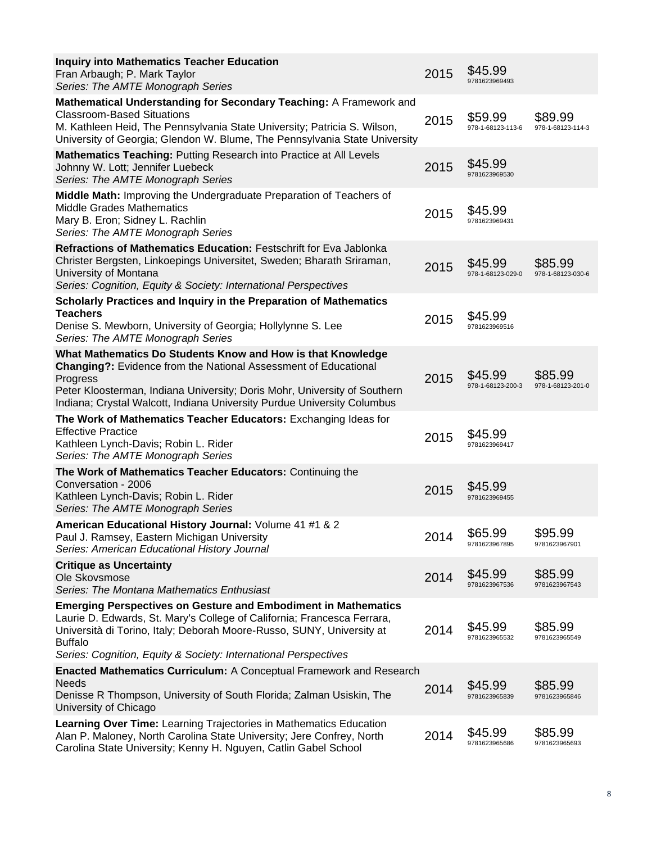| <b>Inquiry into Mathematics Teacher Education</b><br>Fran Arbaugh; P. Mark Taylor<br>Series: The AMTE Monograph Series                                                                                                                                                                                         | 2015 | \$45.99<br>9781623969493     |                              |
|----------------------------------------------------------------------------------------------------------------------------------------------------------------------------------------------------------------------------------------------------------------------------------------------------------------|------|------------------------------|------------------------------|
| Mathematical Understanding for Secondary Teaching: A Framework and<br><b>Classroom-Based Situations</b><br>M. Kathleen Heid, The Pennsylvania State University; Patricia S. Wilson,<br>University of Georgia; Glendon W. Blume, The Pennsylvania State University                                              | 2015 | \$59.99<br>978-1-68123-113-6 | \$89.99<br>978-1-68123-114-3 |
| Mathematics Teaching: Putting Research into Practice at All Levels<br>Johnny W. Lott; Jennifer Luebeck<br>Series: The AMTE Monograph Series                                                                                                                                                                    | 2015 | \$45.99<br>9781623969530     |                              |
| Middle Math: Improving the Undergraduate Preparation of Teachers of<br><b>Middle Grades Mathematics</b><br>Mary B. Eron; Sidney L. Rachlin<br>Series: The AMTE Monograph Series                                                                                                                                | 2015 | \$45.99<br>9781623969431     |                              |
| Refractions of Mathematics Education: Festschrift for Eva Jablonka<br>Christer Bergsten, Linkoepings Universitet, Sweden; Bharath Sriraman,<br>University of Montana<br>Series: Cognition, Equity & Society: International Perspectives                                                                        | 2015 | \$45.99<br>978-1-68123-029-0 | \$85.99<br>978-1-68123-030-6 |
| Scholarly Practices and Inquiry in the Preparation of Mathematics<br><b>Teachers</b><br>Denise S. Mewborn, University of Georgia; Hollylynne S. Lee<br>Series: The AMTE Monograph Series                                                                                                                       | 2015 | \$45.99<br>9781623969516     |                              |
| What Mathematics Do Students Know and How is that Knowledge<br><b>Changing?:</b> Evidence from the National Assessment of Educational<br>Progress<br>Peter Kloosterman, Indiana University; Doris Mohr, University of Southern<br>Indiana; Crystal Walcott, Indiana University Purdue University Columbus      | 2015 | \$45.99<br>978-1-68123-200-3 | \$85.99<br>978-1-68123-201-0 |
| The Work of Mathematics Teacher Educators: Exchanging Ideas for<br><b>Effective Practice</b><br>Kathleen Lynch-Davis; Robin L. Rider<br>Series: The AMTE Monograph Series                                                                                                                                      | 2015 | \$45.99<br>9781623969417     |                              |
| The Work of Mathematics Teacher Educators: Continuing the<br>Conversation - 2006<br>Kathleen Lynch-Davis; Robin L. Rider<br>Series: The AMTE Monograph Series                                                                                                                                                  | 2015 | \$45.99<br>9781623969455     |                              |
| American Educational History Journal: Volume 41 #1 & 2<br>Paul J. Ramsey, Eastern Michigan University<br>Series: American Educational History Journal                                                                                                                                                          | 2014 | \$65.99<br>9781623967895     | \$95.99<br>9781623967901     |
| <b>Critique as Uncertainty</b><br>Ole Skovsmose<br>Series: The Montana Mathematics Enthusiast                                                                                                                                                                                                                  | 2014 | \$45.99<br>9781623967536     | \$85.99<br>9781623967543     |
| <b>Emerging Perspectives on Gesture and Embodiment in Mathematics</b><br>Laurie D. Edwards, St. Mary's College of California; Francesca Ferrara,<br>Università di Torino, Italy; Deborah Moore-Russo, SUNY, University at<br><b>Buffalo</b><br>Series: Cognition, Equity & Society: International Perspectives | 2014 | \$45.99<br>9781623965532     | \$85.99<br>9781623965549     |
| Enacted Mathematics Curriculum: A Conceptual Framework and Research<br><b>Needs</b><br>Denisse R Thompson, University of South Florida; Zalman Usiskin, The<br>University of Chicago                                                                                                                           | 2014 | \$45.99<br>9781623965839     | \$85.99<br>9781623965846     |
| Learning Over Time: Learning Trajectories in Mathematics Education<br>Alan P. Maloney, North Carolina State University; Jere Confrey, North<br>Carolina State University; Kenny H. Nguyen, Catlin Gabel School                                                                                                 | 2014 | \$45.99<br>9781623965686     | \$85.99<br>9781623965693     |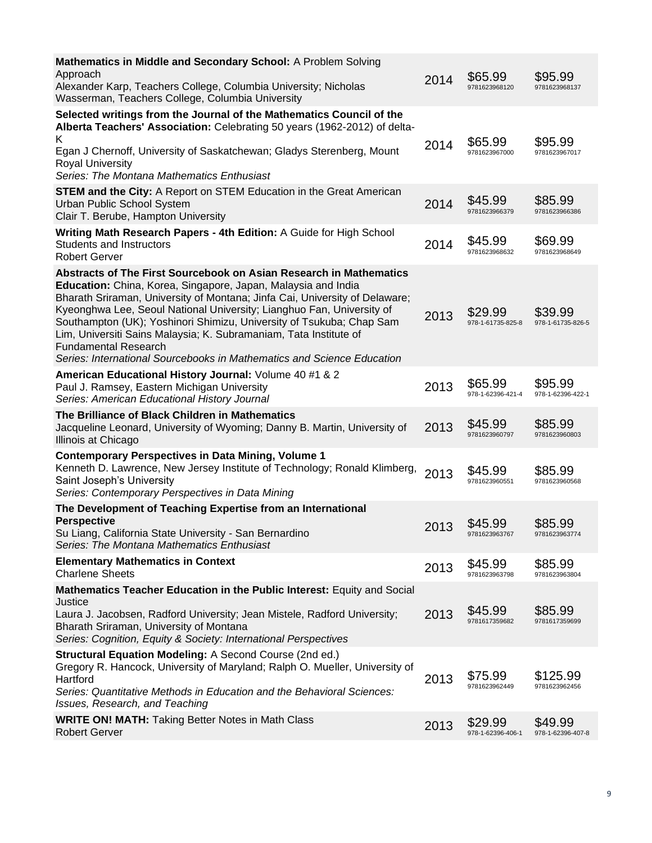| Mathematics in Middle and Secondary School: A Problem Solving<br>Approach<br>Alexander Karp, Teachers College, Columbia University; Nicholas<br>Wasserman, Teachers College, Columbia University                                                                                                                                                                                                                                                                                                                                                  | 2014 | \$65.99<br>9781623968120     | \$95.99<br>9781623968137     |
|---------------------------------------------------------------------------------------------------------------------------------------------------------------------------------------------------------------------------------------------------------------------------------------------------------------------------------------------------------------------------------------------------------------------------------------------------------------------------------------------------------------------------------------------------|------|------------------------------|------------------------------|
| Selected writings from the Journal of the Mathematics Council of the<br>Alberta Teachers' Association: Celebrating 50 years (1962-2012) of delta-<br>Κ<br>Egan J Chernoff, University of Saskatchewan; Gladys Sterenberg, Mount<br><b>Royal University</b><br>Series: The Montana Mathematics Enthusiast                                                                                                                                                                                                                                          | 2014 | \$65.99<br>9781623967000     | \$95.99<br>9781623967017     |
| <b>STEM and the City: A Report on STEM Education in the Great American</b><br>Urban Public School System<br>Clair T. Berube, Hampton University                                                                                                                                                                                                                                                                                                                                                                                                   | 2014 | \$45.99<br>9781623966379     | \$85.99<br>9781623966386     |
| Writing Math Research Papers - 4th Edition: A Guide for High School<br><b>Students and Instructors</b><br><b>Robert Gerver</b>                                                                                                                                                                                                                                                                                                                                                                                                                    | 2014 | \$45.99<br>9781623968632     | \$69.99<br>9781623968649     |
| Abstracts of The First Sourcebook on Asian Research in Mathematics<br>Education: China, Korea, Singapore, Japan, Malaysia and India<br>Bharath Sriraman, University of Montana; Jinfa Cai, University of Delaware;<br>Kyeonghwa Lee, Seoul National University; Lianghuo Fan, University of<br>Southampton (UK); Yoshinori Shimizu, University of Tsukuba; Chap Sam<br>Lim, Universiti Sains Malaysia; K. Subramaniam, Tata Institute of<br><b>Fundamental Research</b><br>Series: International Sourcebooks in Mathematics and Science Education | 2013 | \$29.99<br>978-1-61735-825-8 | \$39.99<br>978-1-61735-826-5 |
| American Educational History Journal: Volume 40 #1 & 2<br>Paul J. Ramsey, Eastern Michigan University<br>Series: American Educational History Journal                                                                                                                                                                                                                                                                                                                                                                                             | 2013 | \$65.99<br>978-1-62396-421-4 | \$95.99<br>978-1-62396-422-1 |
| The Brilliance of Black Children in Mathematics<br>Jacqueline Leonard, University of Wyoming; Danny B. Martin, University of<br>Illinois at Chicago                                                                                                                                                                                                                                                                                                                                                                                               | 2013 | \$45.99<br>9781623960797     | \$85.99<br>9781623960803     |
| <b>Contemporary Perspectives in Data Mining, Volume 1</b><br>Kenneth D. Lawrence, New Jersey Institute of Technology; Ronald Klimberg,<br>Saint Joseph's University<br>Series: Contemporary Perspectives in Data Mining                                                                                                                                                                                                                                                                                                                           | 2013 | \$45.99<br>9781623960551     | \$85.99<br>9781623960568     |
| The Development of Teaching Expertise from an International<br><b>Perspective</b><br>Su Liang, California State University - San Bernardino<br>Series: The Montana Mathematics Enthusiast                                                                                                                                                                                                                                                                                                                                                         | 2013 | \$45.99<br>9781623963767     | \$85.99<br>9781623963774     |
| <b>Elementary Mathematics in Context</b><br><b>Charlene Sheets</b>                                                                                                                                                                                                                                                                                                                                                                                                                                                                                | 2013 | \$45.99<br>9781623963798     | \$85.99<br>9781623963804     |
| Mathematics Teacher Education in the Public Interest: Equity and Social<br>Justice<br>Laura J. Jacobsen, Radford University; Jean Mistele, Radford University;<br>Bharath Sriraman, University of Montana<br>Series: Cognition, Equity & Society: International Perspectives                                                                                                                                                                                                                                                                      | 2013 | \$45.99<br>9781617359682     | \$85.99<br>9781617359699     |
| Structural Equation Modeling: A Second Course (2nd ed.)<br>Gregory R. Hancock, University of Maryland; Ralph O. Mueller, University of<br>Hartford<br>Series: Quantitative Methods in Education and the Behavioral Sciences:<br>Issues, Research, and Teaching                                                                                                                                                                                                                                                                                    | 2013 | \$75.99<br>9781623962449     | \$125.99<br>9781623962456    |
| <b>WRITE ON! MATH: Taking Better Notes in Math Class</b><br><b>Robert Gerver</b>                                                                                                                                                                                                                                                                                                                                                                                                                                                                  | 2013 | \$29.99<br>978-1-62396-406-1 | \$49.99<br>978-1-62396-407-8 |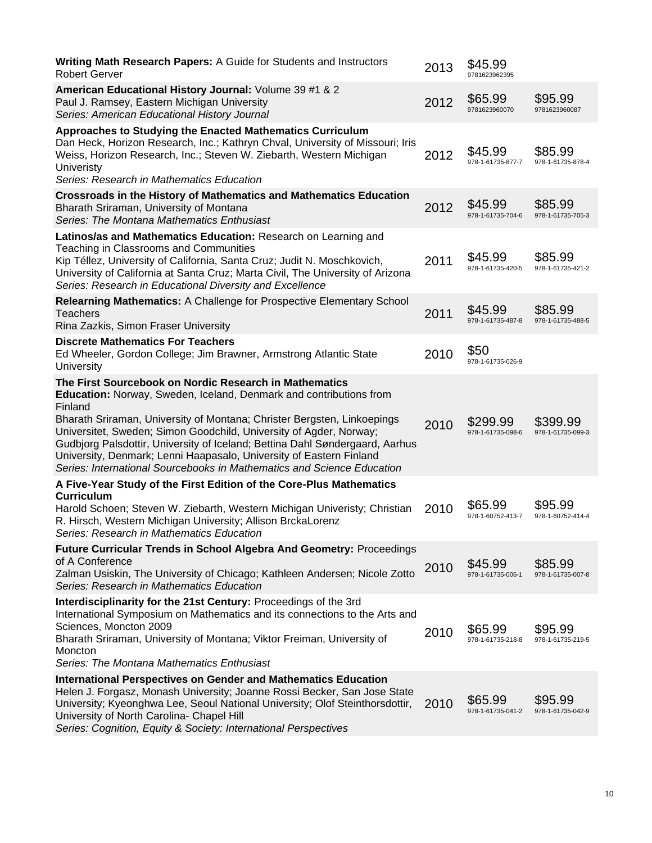| <b>Writing Math Research Papers: A Guide for Students and Instructors</b><br><b>Robert Gerver</b>                                                                                                                                                                                                                                                                                                                                                                                                                         | 2013 | \$45.99<br>9781623962395      |                               |
|---------------------------------------------------------------------------------------------------------------------------------------------------------------------------------------------------------------------------------------------------------------------------------------------------------------------------------------------------------------------------------------------------------------------------------------------------------------------------------------------------------------------------|------|-------------------------------|-------------------------------|
| American Educational History Journal: Volume 39 #1 & 2<br>Paul J. Ramsey, Eastern Michigan University<br>Series: American Educational History Journal                                                                                                                                                                                                                                                                                                                                                                     | 2012 | \$65.99<br>9781623960070      | \$95.99<br>9781623960087      |
| Approaches to Studying the Enacted Mathematics Curriculum<br>Dan Heck, Horizon Research, Inc.; Kathryn Chval, University of Missouri; Iris<br>Weiss, Horizon Research, Inc.; Steven W. Ziebarth, Western Michigan<br><b>Univeristy</b><br>Series: Research in Mathematics Education                                                                                                                                                                                                                                       | 2012 | \$45.99<br>978-1-61735-877-7  | \$85.99<br>978-1-61735-878-4  |
| <b>Crossroads in the History of Mathematics and Mathematics Education</b><br>Bharath Sriraman, University of Montana<br>Series: The Montana Mathematics Enthusiast                                                                                                                                                                                                                                                                                                                                                        | 2012 | \$45.99<br>978-1-61735-704-6  | \$85.99<br>978-1-61735-705-3  |
| Latinos/as and Mathematics Education: Research on Learning and<br>Teaching in Classrooms and Communities<br>Kip Téllez, University of California, Santa Cruz; Judit N. Moschkovich,<br>University of California at Santa Cruz; Marta Civil, The University of Arizona<br>Series: Research in Educational Diversity and Excellence                                                                                                                                                                                         | 2011 | \$45.99<br>978-1-61735-420-5  | \$85.99<br>978-1-61735-421-2  |
| <b>Relearning Mathematics: A Challenge for Prospective Elementary School</b><br><b>Teachers</b><br>Rina Zazkis, Simon Fraser University                                                                                                                                                                                                                                                                                                                                                                                   | 2011 | \$45.99<br>978-1-61735-487-8  | \$85.99<br>978-1-61735-488-5  |
| <b>Discrete Mathematics For Teachers</b><br>Ed Wheeler, Gordon College; Jim Brawner, Armstrong Atlantic State<br>University                                                                                                                                                                                                                                                                                                                                                                                               | 2010 | \$50<br>978-1-61735-026-9     |                               |
| The First Sourcebook on Nordic Research in Mathematics<br>Education: Norway, Sweden, Iceland, Denmark and contributions from<br>Finland<br>Bharath Sriraman, University of Montana; Christer Bergsten, Linkoepings<br>Universitet, Sweden; Simon Goodchild, University of Agder, Norway;<br>Gudbjorg Palsdottir, University of Iceland; Bettina Dahl Søndergaard, Aarhus<br>University, Denmark; Lenni Haapasalo, University of Eastern Finland<br>Series: International Sourcebooks in Mathematics and Science Education | 2010 | \$299.99<br>978-1-61735-098-6 | \$399.99<br>978-1-61735-099-3 |
| A Five-Year Study of the First Edition of the Core-Plus Mathematics<br><b>Curriculum</b><br>Harold Schoen; Steven W. Ziebarth, Western Michigan Univeristy; Christian<br>R. Hirsch, Western Michigan University; Allison BrckaLorenz<br>Series: Research in Mathematics Education                                                                                                                                                                                                                                         | 2010 | \$65.99<br>978-1-60752-413-7  | \$95.99<br>978-1-60752-414-4  |
| <b>Future Curricular Trends in School Algebra And Geometry: Proceedings</b><br>of A Conference<br>Zalman Usiskin, The University of Chicago; Kathleen Andersen; Nicole Zotto<br>Series: Research in Mathematics Education                                                                                                                                                                                                                                                                                                 | 2010 | \$45.99<br>978-1-61735-006-1  | \$85.99<br>978-1-61735-007-8  |
| Interdisciplinarity for the 21st Century: Proceedings of the 3rd<br>International Symposium on Mathematics and its connections to the Arts and<br>Sciences, Moncton 2009<br>Bharath Sriraman, University of Montana; Viktor Freiman, University of<br>Moncton<br>Series: The Montana Mathematics Enthusiast                                                                                                                                                                                                               | 2010 | \$65.99<br>978-1-61735-218-8  | \$95.99<br>978-1-61735-219-5  |
| <b>International Perspectives on Gender and Mathematics Education</b><br>Helen J. Forgasz, Monash University; Joanne Rossi Becker, San Jose State<br>University; Kyeonghwa Lee, Seoul National University; Olof Steinthorsdottir,<br>University of North Carolina- Chapel Hill<br>Series: Cognition, Equity & Society: International Perspectives                                                                                                                                                                         | 2010 | \$65.99<br>978-1-61735-041-2  | \$95.99<br>978-1-61735-042-9  |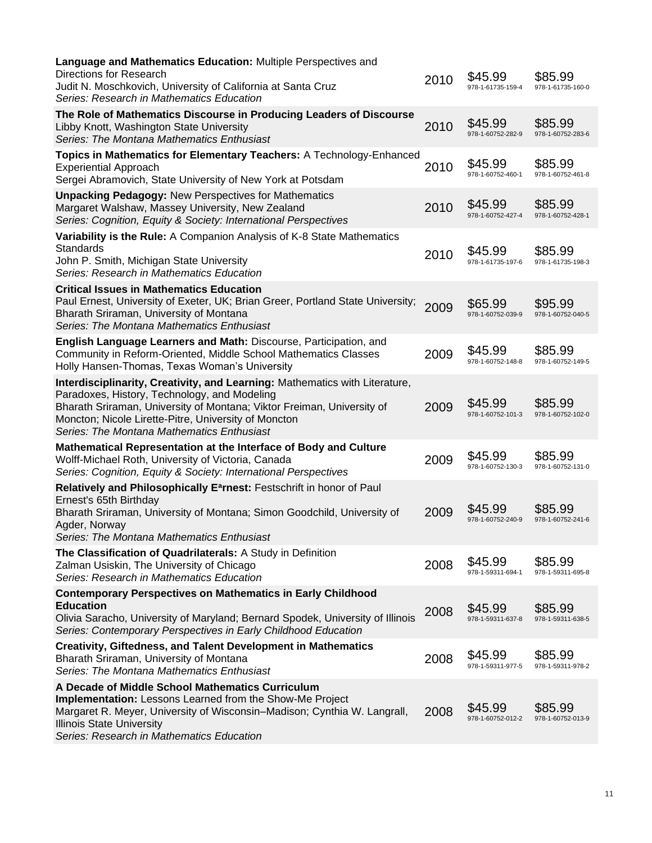| Language and Mathematics Education: Multiple Perspectives and<br><b>Directions for Research</b><br>Judit N. Moschkovich, University of California at Santa Cruz<br>Series: Research in Mathematics Education                                                                                                | 2010 | \$45.99<br>978-1-61735-159-4 | \$85.99<br>978-1-61735-160-0 |
|-------------------------------------------------------------------------------------------------------------------------------------------------------------------------------------------------------------------------------------------------------------------------------------------------------------|------|------------------------------|------------------------------|
| The Role of Mathematics Discourse in Producing Leaders of Discourse<br>Libby Knott, Washington State University<br>Series: The Montana Mathematics Enthusiast                                                                                                                                               | 2010 | \$45.99<br>978-1-60752-282-9 | \$85.99<br>978-1-60752-283-6 |
| Topics in Mathematics for Elementary Teachers: A Technology-Enhanced<br><b>Experiential Approach</b><br>Sergei Abramovich, State University of New York at Potsdam                                                                                                                                          | 2010 | \$45.99<br>978-1-60752-460-1 | \$85.99<br>978-1-60752-461-8 |
| <b>Unpacking Pedagogy: New Perspectives for Mathematics</b><br>Margaret Walshaw, Massey University, New Zealand<br>Series: Cognition, Equity & Society: International Perspectives                                                                                                                          | 2010 | \$45.99<br>978-1-60752-427-4 | \$85.99<br>978-1-60752-428-1 |
| Variability is the Rule: A Companion Analysis of K-8 State Mathematics<br>Standards<br>John P. Smith, Michigan State University<br>Series: Research in Mathematics Education                                                                                                                                | 2010 | \$45.99<br>978-1-61735-197-6 | \$85.99<br>978-1-61735-198-3 |
| <b>Critical Issues in Mathematics Education</b><br>Paul Ernest, University of Exeter, UK; Brian Greer, Portland State University;<br>Bharath Sriraman, University of Montana<br>Series: The Montana Mathematics Enthusiast                                                                                  | 2009 | \$65.99<br>978-1-60752-039-9 | \$95.99<br>978-1-60752-040-5 |
| English Language Learners and Math: Discourse, Participation, and<br>Community in Reform-Oriented, Middle School Mathematics Classes<br>Holly Hansen-Thomas, Texas Woman's University                                                                                                                       | 2009 | \$45.99<br>978-1-60752-148-8 | \$85.99<br>978-1-60752-149-5 |
| Interdisciplinarity, Creativity, and Learning: Mathematics with Literature,<br>Paradoxes, History, Technology, and Modeling<br>Bharath Sriraman, University of Montana; Viktor Freiman, University of<br>Moncton; Nicole Lirette-Pitre, University of Moncton<br>Series: The Montana Mathematics Enthusiast | 2009 | \$45.99<br>978-1-60752-101-3 | \$85.99<br>978-1-60752-102-0 |
| Mathematical Representation at the Interface of Body and Culture<br>Wolff-Michael Roth, University of Victoria, Canada<br>Series: Cognition, Equity & Society: International Perspectives                                                                                                                   | 2009 | \$45.99<br>978-1-60752-130-3 | \$85.99<br>978-1-60752-131-0 |
| Relatively and Philosophically E <sup>a</sup> rnest: Festschrift in honor of Paul<br>Ernest's 65th Birthday<br>Bharath Sriraman, University of Montana; Simon Goodchild, University of<br>Agder, Norway<br>Series: The Montana Mathematics Enthusiast                                                       | 2009 | \$45.99<br>978-1-60752-240-9 | \$85.99<br>978-1-60752-241-6 |
| The Classification of Quadrilaterals: A Study in Definition<br>Zalman Usiskin, The University of Chicago<br>Series: Research in Mathematics Education                                                                                                                                                       | 2008 | \$45.99<br>978-1-59311-694-1 | \$85.99<br>978-1-59311-695-8 |
| <b>Contemporary Perspectives on Mathematics in Early Childhood</b><br><b>Education</b><br>Olivia Saracho, University of Maryland; Bernard Spodek, University of Illinois<br>Series: Contemporary Perspectives in Early Childhood Education                                                                  | 2008 | \$45.99<br>978-1-59311-637-8 | \$85.99<br>978-1-59311-638-5 |
| <b>Creativity, Giftedness, and Talent Development in Mathematics</b><br>Bharath Sriraman, University of Montana<br>Series: The Montana Mathematics Enthusiast                                                                                                                                               | 2008 | \$45.99<br>978-1-59311-977-5 | \$85.99<br>978-1-59311-978-2 |
| A Decade of Middle School Mathematics Curriculum<br>Implementation: Lessons Learned from the Show-Me Project<br>Margaret R. Meyer, University of Wisconsin–Madison; Cynthia W. Langrall,<br><b>Illinois State University</b><br>Series: Research in Mathematics Education                                   | 2008 | \$45.99<br>978-1-60752-012-2 | \$85.99<br>978-1-60752-013-9 |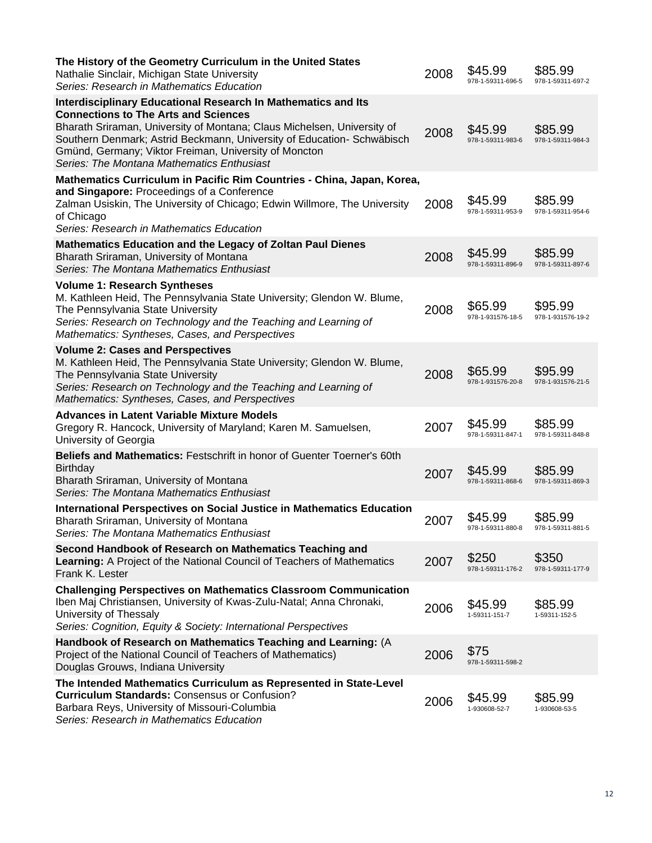| The History of the Geometry Curriculum in the United States<br>Nathalie Sinclair, Michigan State University<br>Series: Research in Mathematics Education                                                                                                                                                                                                                        | 2008 | \$45.99<br>978-1-59311-696-5 | \$85.99<br>978-1-59311-697-2 |
|---------------------------------------------------------------------------------------------------------------------------------------------------------------------------------------------------------------------------------------------------------------------------------------------------------------------------------------------------------------------------------|------|------------------------------|------------------------------|
| <b>Interdisciplinary Educational Research In Mathematics and Its</b><br><b>Connections to The Arts and Sciences</b><br>Bharath Sriraman, University of Montana; Claus Michelsen, University of<br>Southern Denmark; Astrid Beckmann, University of Education- Schwäbisch<br>Gmünd, Germany; Viktor Freiman, University of Moncton<br>Series: The Montana Mathematics Enthusiast | 2008 | \$45.99<br>978-1-59311-983-6 | \$85.99<br>978-1-59311-984-3 |
| Mathematics Curriculum in Pacific Rim Countries - China, Japan, Korea,<br>and Singapore: Proceedings of a Conference<br>Zalman Usiskin, The University of Chicago; Edwin Willmore, The University<br>of Chicago<br>Series: Research in Mathematics Education                                                                                                                    | 2008 | \$45.99<br>978-1-59311-953-9 | \$85.99<br>978-1-59311-954-6 |
| <b>Mathematics Education and the Legacy of Zoltan Paul Dienes</b><br>Bharath Sriraman, University of Montana<br>Series: The Montana Mathematics Enthusiast                                                                                                                                                                                                                      | 2008 | \$45.99<br>978-1-59311-896-9 | \$85.99<br>978-1-59311-897-6 |
| <b>Volume 1: Research Syntheses</b><br>M. Kathleen Heid, The Pennsylvania State University; Glendon W. Blume,<br>The Pennsylvania State University<br>Series: Research on Technology and the Teaching and Learning of<br>Mathematics: Syntheses, Cases, and Perspectives                                                                                                        | 2008 | \$65.99<br>978-1-931576-18-5 | \$95.99<br>978-1-931576-19-2 |
| <b>Volume 2: Cases and Perspectives</b><br>M. Kathleen Heid, The Pennsylvania State University; Glendon W. Blume,<br>The Pennsylvania State University<br>Series: Research on Technology and the Teaching and Learning of<br>Mathematics: Syntheses, Cases, and Perspectives                                                                                                    | 2008 | \$65.99<br>978-1-931576-20-8 | \$95.99<br>978-1-931576-21-5 |
| <b>Advances in Latent Variable Mixture Models</b><br>Gregory R. Hancock, University of Maryland; Karen M. Samuelsen,<br>University of Georgia                                                                                                                                                                                                                                   | 2007 | \$45.99<br>978-1-59311-847-1 | \$85.99<br>978-1-59311-848-8 |
| Beliefs and Mathematics: Festschrift in honor of Guenter Toerner's 60th<br><b>Birthday</b><br>Bharath Sriraman, University of Montana<br>Series: The Montana Mathematics Enthusiast                                                                                                                                                                                             | 2007 | \$45.99<br>978-1-59311-868-6 | \$85.99<br>978-1-59311-869-3 |
| International Perspectives on Social Justice in Mathematics Education<br>Bharath Sriraman, University of Montana<br>Series: The Montana Mathematics Enthusiast                                                                                                                                                                                                                  | 2007 | \$45.99<br>978-1-59311-880-8 | \$85.99<br>978-1-59311-881-5 |
| Second Handbook of Research on Mathematics Teaching and<br>Learning: A Project of the National Council of Teachers of Mathematics<br>Frank K. Lester                                                                                                                                                                                                                            | 2007 | \$250<br>978-1-59311-176-2   | \$350<br>978-1-59311-177-9   |
| <b>Challenging Perspectives on Mathematics Classroom Communication</b><br>Iben Maj Christiansen, University of Kwas-Zulu-Natal; Anna Chronaki,<br>University of Thessaly<br>Series: Cognition, Equity & Society: International Perspectives                                                                                                                                     | 2006 | \$45.99<br>1-59311-151-7     | \$85.99<br>1-59311-152-5     |
| Handbook of Research on Mathematics Teaching and Learning: (A<br>Project of the National Council of Teachers of Mathematics)<br>Douglas Grouws, Indiana University                                                                                                                                                                                                              | 2006 | \$75<br>978-1-59311-598-2    |                              |
| The Intended Mathematics Curriculum as Represented in State-Level<br><b>Curriculum Standards: Consensus or Confusion?</b><br>Barbara Reys, University of Missouri-Columbia<br>Series: Research in Mathematics Education                                                                                                                                                         | 2006 | \$45.99<br>1-930608-52-7     | \$85.99<br>1-930608-53-5     |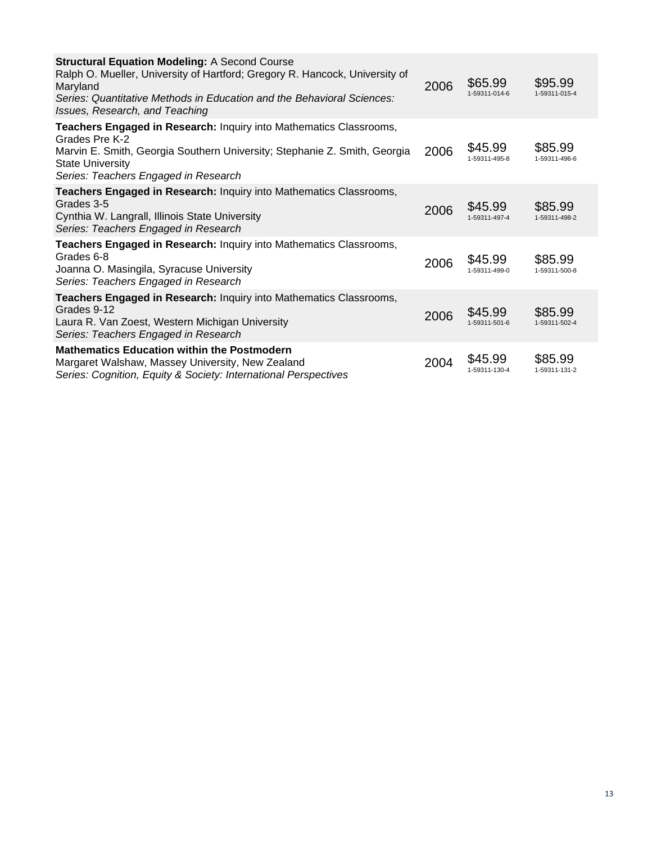| <b>Structural Equation Modeling: A Second Course</b><br>Ralph O. Mueller, University of Hartford; Gregory R. Hancock, University of<br>Maryland<br>Series: Quantitative Methods in Education and the Behavioral Sciences:<br>Issues, Research, and Teaching | 2006 | \$65.99<br>1-59311-014-6 | \$95.99<br>1-59311-015-4 |
|-------------------------------------------------------------------------------------------------------------------------------------------------------------------------------------------------------------------------------------------------------------|------|--------------------------|--------------------------|
| Teachers Engaged in Research: Inquiry into Mathematics Classrooms,<br>Grades Pre K-2<br>Marvin E. Smith, Georgia Southern University; Stephanie Z. Smith, Georgia<br><b>State University</b><br>Series: Teachers Engaged in Research                        | 2006 | \$45.99<br>1-59311-495-8 | \$85.99<br>1-59311-496-6 |
| Teachers Engaged in Research: Inquiry into Mathematics Classrooms,<br>Grades 3-5<br>Cynthia W. Langrall, Illinois State University<br>Series: Teachers Engaged in Research                                                                                  | 2006 | \$45.99<br>1-59311-497-4 | \$85.99<br>1-59311-498-2 |
| Teachers Engaged in Research: Inquiry into Mathematics Classrooms,<br>Grades 6-8<br>Joanna O. Masingila, Syracuse University<br>Series: Teachers Engaged in Research                                                                                        | 2006 | \$45.99<br>1-59311-499-0 | \$85.99<br>1-59311-500-8 |
| Teachers Engaged in Research: Inquiry into Mathematics Classrooms,<br>Grades 9-12<br>Laura R. Van Zoest, Western Michigan University<br>Series: Teachers Engaged in Research                                                                                | 2006 | \$45.99<br>1-59311-501-6 | \$85.99<br>1-59311-502-4 |
| <b>Mathematics Education within the Postmodern</b><br>Margaret Walshaw, Massey University, New Zealand<br>Series: Cognition, Equity & Society: International Perspectives                                                                                   | 2004 | \$45.99<br>1-59311-130-4 | \$85.99<br>1-59311-131-2 |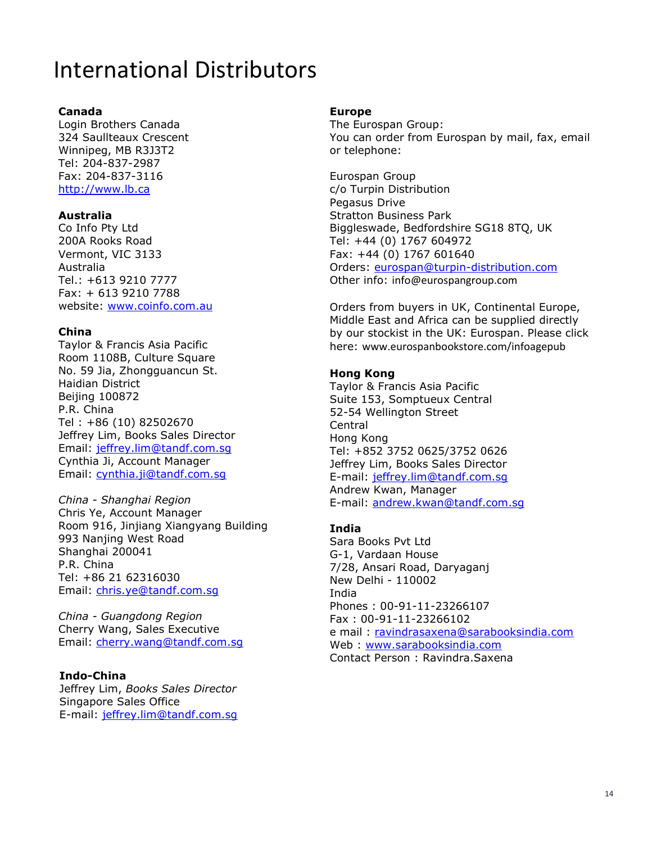# International Distributors

#### **Canada**

Login Brothers Canada 324 Saullteaux Crescent Winnipeg, MB R3J3T2 Tel: 204-837-2987 Fax: 204-837-3116 [http://www.lb.ca](http://www.lb.ca/)

#### **Australia**

Co Info Pty Ltd 200A Rooks Road Vermont, VIC 3133 Australia Tel.: +613 9210 7777 Fax: + 613 9210 7788 website: [www.coinfo.com.au](http://www.coinfo.com.au/)

#### **China**

Taylor & Francis Asia Pacific Room 1108B, Culture Square No. 59 Jia, Zhongguancun St. Haidian District Beijing 100872 P.R. China Tel : +86 (10) 82502670 Jeffrey Lim, Books Sales Director Email: [jeffrey.lim@tandf.com.sg](mailto:jeffrey.lim@tandf.com.sg) Cynthia Ji, Account Manager Email: [cynthia.ji@tandf.com.sg](mailto:cynthia.ji@tandf.com.sg)

*China - Shanghai Region* Chris Ye, Account Manager Room 916, Jinjiang Xiangyang Building 993 Nanjing West Road Shanghai 200041 P.R. China Tel: +86 21 62316030 Email: [chris.ye@tandf.com.sg](mailto:chris.ye@tandf.com.sg)

*China - Guangdong Region* Cherry Wang, Sales Executive Email: [cherry.wang@tandf.com.sg](mailto:cherry.wang@tandf.com.sg)

#### **Indo-China**

Jeffrey Lim, *Books Sales Director* Singapore Sales Office E-mail: [jeffrey.lim@tandf.com.sg](mailto:jeffrey.lim@tandf.com.sg)

#### **Europe**

The Eurospan Group: You can order from Eurospan by mail, fax, email or telephone:

Eurospan Group c/o Turpin Distribution Pegasus Drive Stratton Business Park Biggleswade, Bedfordshire SG18 8TQ, UK Tel: +44 (0) 1767 604972 Fax: +44 (0) 1767 601640 Orders: [eurospan@turpin-distribution.com](mailto:eurospan@turpin-distribution.com) Other info: info@eurospangroup.com

Orders from buyers in UK, Continental Europe, Middle East and Africa can be supplied directly by our stockist in the UK: Eurospan. Please click here: www.eurospanbookstore.com/infoagepub

#### **Hong Kong**

Taylor & Francis Asia Pacific Suite 153, Somptueux Central 52-54 Wellington Street Central Hong Kong Tel: +852 3752 0625/3752 0626 Jeffrey Lim, Books Sales Director E-mail: [jeffrey.lim@tandf.com.sg](mailto:jeffrey.lim@tandf.com.sg) Andrew Kwan, Manager E-mail: [andrew.kwan@tandf.com.sg](mailto:andrew.kwan@tandf.com.sg)

#### **India**

Sara Books Pvt Ltd G-1, Vardaan House 7/28, Ansari Road, Daryaganj New Delhi - 110002 India Phones : 00-91-11-23266107 Fax : 00-91-11-23266102 e mail: [ravindrasaxena@sarabooksindia.com](mailto:ravindrasaxena@sarabooksindia.com) Web : [www.sarabooksindia.com](http://www.sarabooksindia.com/) Contact Person : Ravindra.Saxena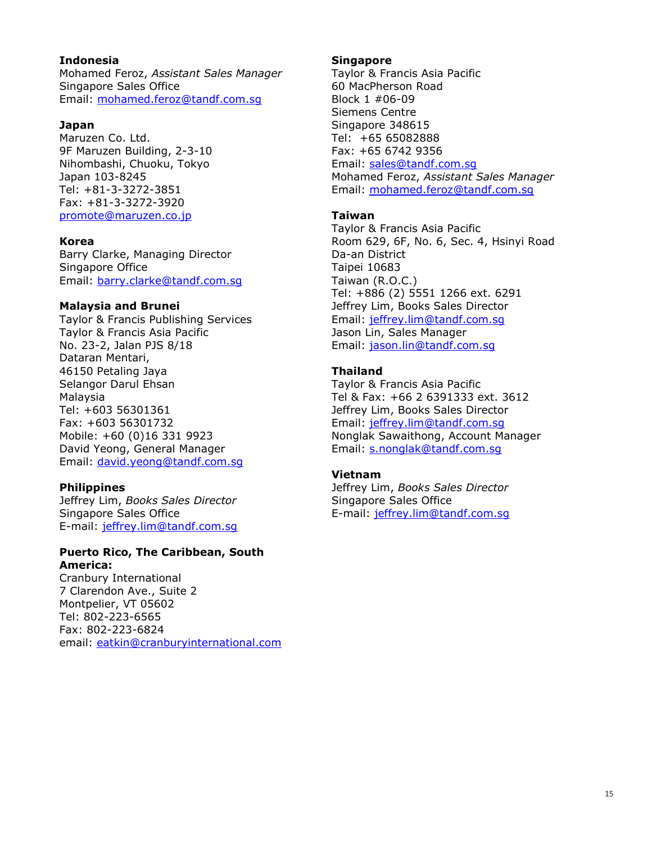#### **Indonesia**

Mohamed Feroz, *Assistant Sales Manager* Singapore Sales Office Email: [mohamed.feroz@tandf.com.sg](mailto:mohamed.feroz@tandf.com.sg)

#### **Japan**

Maruzen Co. Ltd. 9F Maruzen Building, 2-3-10 Nihombashi, Chuoku, Tokyo Japan 103-8245 Tel: +81-3-3272-3851 Fax: +81-3-3272-3920 [promote@maruzen.co.jp](mailto:promote@maruzen.co.jp)

#### **Korea**

Barry Clarke, Managing Director Singapore Office Email: [barry.clarke@tandf.com.sg](mailto:barry.clarke@tandf.com.sg)

#### **Malaysia and Brunei**

Taylor & Francis Publishing Services Taylor & Francis Asia Pacific No. 23-2, Jalan PJS 8/18 Dataran Mentari, 46150 Petaling Jaya Selangor Darul Ehsan Malaysia Tel: +603 56301361 Fax: +603 56301732 Mobile: +60 (0)16 331 9923 David Yeong, General Manager Email: [david.yeong@tandf.com.sg](mailto:david.yeong@tandf.com.sg)

#### **Philippines**

Jeffrey Lim, *Books Sales Director* Singapore Sales Office E-mail: [jeffrey.lim@tandf.com.sg](mailto:jeffrey.lim@tandf.com.sg)

#### **Puerto Rico, The Caribbean, South America:**

Cranbury International 7 Clarendon Ave., Suite 2 Montpelier, VT 05602 Tel: 802-223-6565 Fax: 802-223-6824 email: [eatkin@cranburyinternational.com](mailto:eatkin@cranburyinternational.com)

#### **Singapore**

Taylor & Francis Asia Pacific 60 MacPherson Road Block 1 #06-09 Siemens Centre Singapore 348615 Tel: +65 65082888 Fax: +65 6742 9356 Email: [sales@tandf.com.sg](mailto:sales@tandf.com.sg) Mohamed Feroz, *Assistant Sales Manager* Email: [mohamed.feroz@tandf.com.sg](mailto:mohamed.feroz@tandf.com.sg)

#### **Taiwan**

Taylor & Francis Asia Pacific Room 629, 6F, No. 6, Sec. 4, Hsinyi Road Da-an District Taipei 10683 Taiwan (R.O.C.) Tel: +886 (2) 5551 1266 ext. 6291 Jeffrey Lim, Books Sales Director Email: [jeffrey.lim@tandf.com.sg](mailto:jeffrey.lim@tandf.com.sg) Jason Lin, Sales Manager Email: [jason.lin@tandf.com.sg](mailto:jason.lin@tandf.com.sg)

#### **Thailand**

Taylor & Francis Asia Pacific Tel & Fax: +66 2 6391333 ext. 3612 Jeffrey Lim, Books Sales Director Email: [jeffrey.lim@tandf.com.sg](mailto:jeffrey.lim@tandf.com.sg) Nonglak Sawaithong, Account Manager Email: [s.nonglak@tandf.com.sg](mailto:s.nonglak@tandf.com.sg)

#### **Vietnam**

Jeffrey Lim, *Books Sales Director* Singapore Sales Office E-mail: [jeffrey.lim@tandf.com.sg](mailto:jeffrey.lim@tandf.com.sg)